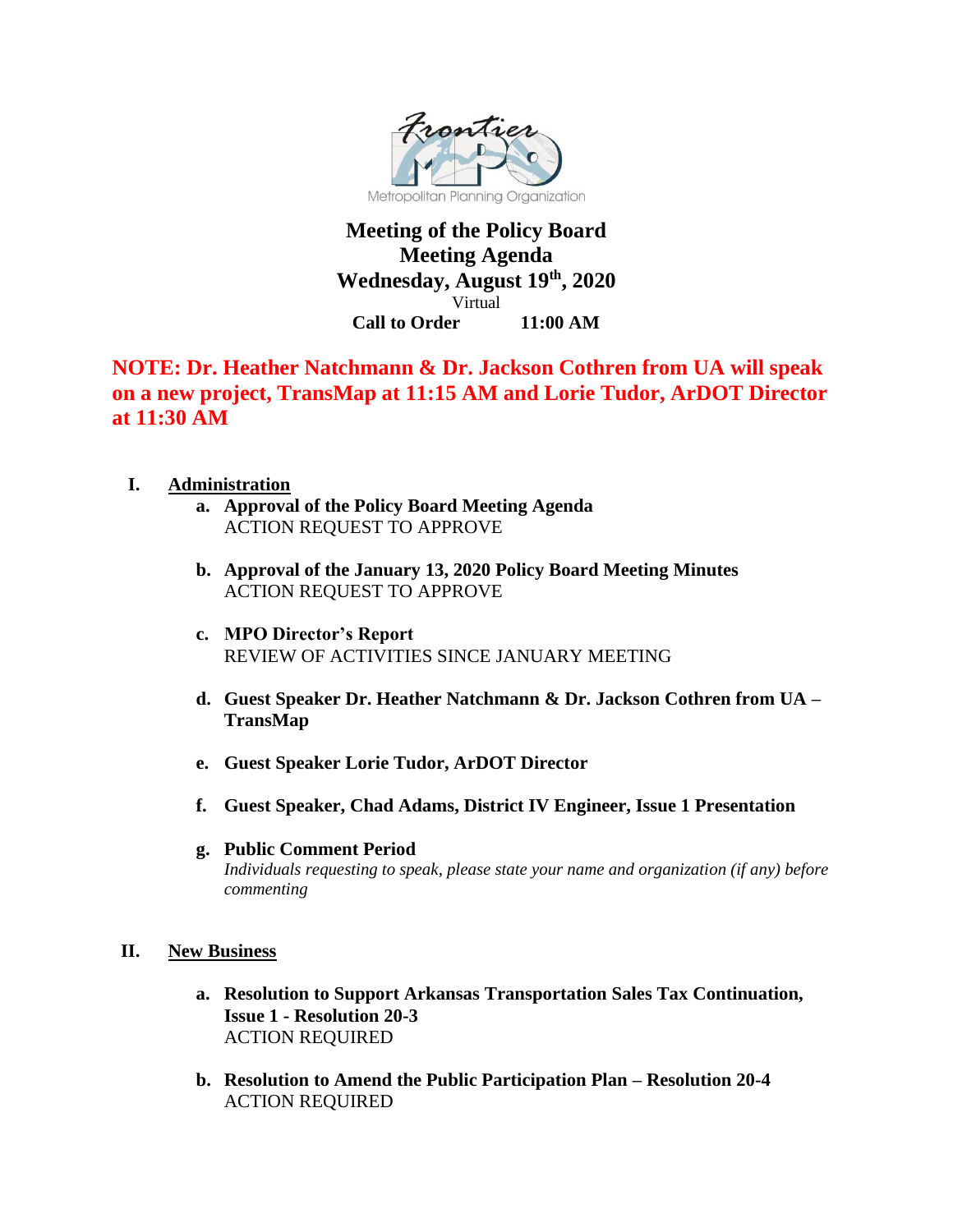

## **Meeting of the Policy Board Meeting Agenda Wednesday, August 19th, 2020** Virtual **Call to Order 11:00 AM**

# **NOTE: Dr. Heather Natchmann & Dr. Jackson Cothren from UA will speak on a new project, TransMap at 11:15 AM and Lorie Tudor, ArDOT Director at 11:30 AM**

- **I. Administration**
	- **a. Approval of the Policy Board Meeting Agenda** ACTION REQUEST TO APPROVE
	- **b. Approval of the January 13, 2020 Policy Board Meeting Minutes**  ACTION REQUEST TO APPROVE
	- **c. MPO Director's Report**  REVIEW OF ACTIVITIES SINCE JANUARY MEETING
	- **d. Guest Speaker Dr. Heather Natchmann & Dr. Jackson Cothren from UA – TransMap**
	- **e. Guest Speaker Lorie Tudor, ArDOT Director**
	- **f. Guest Speaker, Chad Adams, District IV Engineer, Issue 1 Presentation**
	- **g. Public Comment Period** *Individuals requesting to speak, please state your name and organization (if any) before commenting*
- **II. New Business**
	- **a. Resolution to Support Arkansas Transportation Sales Tax Continuation, Issue 1 - Resolution 20-3** ACTION REQUIRED
	- **b. Resolution to Amend the Public Participation Plan – Resolution 20-4** ACTION REQUIRED